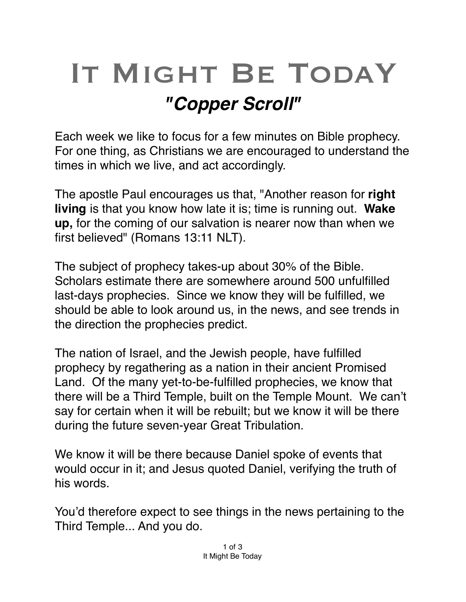## IT MIGHT BE TODAY *"Copper Scroll"*

Each week we like to focus for a few minutes on Bible prophecy. For one thing, as Christians we are encouraged to understand the times in which we live, and act accordingly.

The apostle Paul encourages us that, "Another reason for **right living** is that you know how late it is; time is running out. **Wake up,** for the coming of our salvation is nearer now than when we first believed" (Romans 13:11 NLT).

The subject of prophecy takes-up about 30% of the Bible. Scholars estimate there are somewhere around 500 unfulfilled last-days prophecies. Since we know they will be fulfilled, we should be able to look around us, in the news, and see trends in the direction the prophecies predict.

The nation of Israel, and the Jewish people, have fulfilled prophecy by regathering as a nation in their ancient Promised Land. Of the many yet-to-be-fulfilled prophecies, we know that there will be a Third Temple, built on the Temple Mount. We can't say for certain when it will be rebuilt; but we know it will be there during the future seven-year Great Tribulation.

We know it will be there because Daniel spoke of events that would occur in it; and Jesus quoted Daniel, verifying the truth of his words.

You'd therefore expect to see things in the news pertaining to the Third Temple... And you do.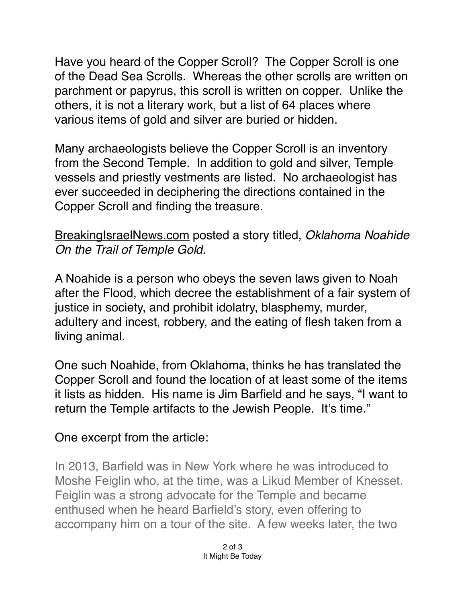Have you heard of the Copper Scroll? The Copper Scroll is one of the [Dead Sea Scrolls](https://en.m.wikipedia.org/wiki/Dead_Sea_Scrolls). Whereas the other scrolls are written on [parchment](https://en.m.wikipedia.org/wiki/Parchment) or [papyrus,](https://en.m.wikipedia.org/wiki/Papyrus) this scroll is written on copper. Unlike the others, it is not a [literary](https://en.m.wikipedia.org/wiki/Literary) work, but a list of 64 places where various items of [gold](https://en.m.wikipedia.org/wiki/Gold) and [silver](https://en.m.wikipedia.org/wiki/Silver) are buried or hidden.

Many archaeologists believe the Copper Scroll is an inventory from the Second Temple. In addition to gold and silver, Temple vessels and priestly vestments are listed. No archaeologist has ever succeeded in deciphering the directions contained in the Copper Scroll and finding the treasure.

## [BreakingIsraelNews.com](http://BreakingIsraelNews.com) posted a story titled, *Oklahoma Noahide On the Trail of Temple Gold.*

A Noahide is a person who obeys the seven laws given to Noah after the Flood, which decree the establishment of a fair system of justice in society, and prohibit idolatry, blasphemy, murder, adultery and incest, robbery, and the eating of flesh taken from a living animal.

One such Noahide, from Oklahoma, thinks he has translated the Copper Scroll and found the location of at least some of the items it lists as hidden. His name is Jim Barfield and he says, "I want to return the Temple artifacts to the Jewish People. It's time."

## One excerpt from the article:

In 2013, Barfield was in New York where he was introduced to Moshe Feiglin who, at the time, was a Likud Member of Knesset. Feiglin was a strong advocate for the Temple and became enthused when he heard Barfield's story, even offering to accompany him on a tour of the site. A few weeks later, the two